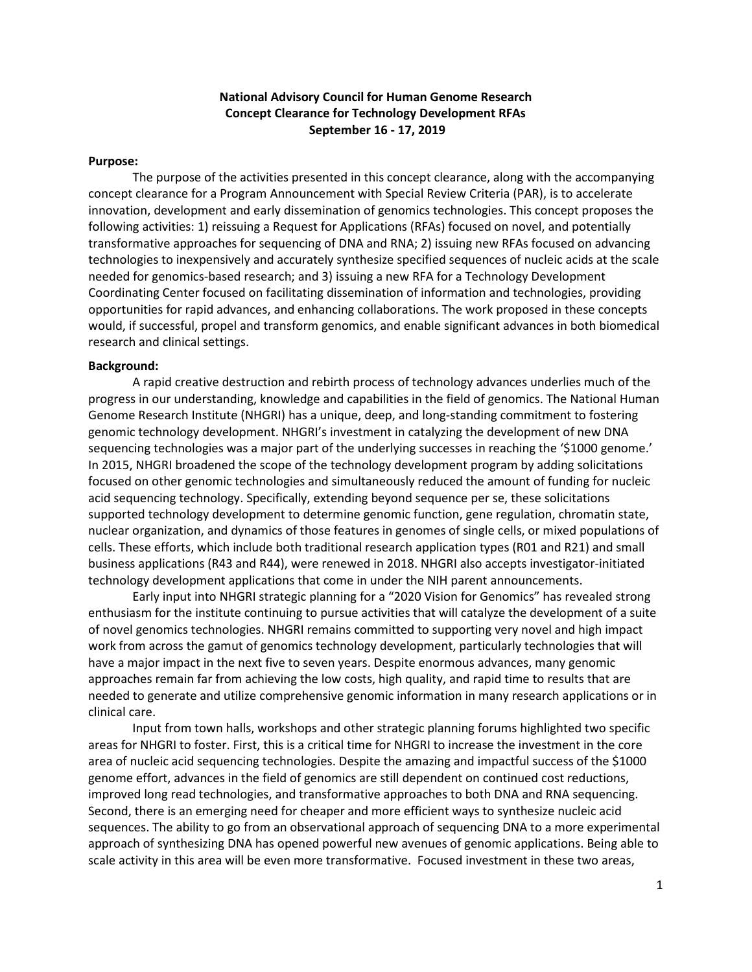#### **National Advisory Council for Human Genome Research Concept Clearance for Technology Development RFAs September 16 - 17, 2019**

#### **Purpose:**

The purpose of the activities presented in this concept clearance, along with the accompanying concept clearance for a Program Announcement with Special Review Criteria (PAR), is to accelerate innovation, development and early dissemination of genomics technologies. This concept proposes the following activities: 1) reissuing a Request for Applications (RFAs) focused on novel, and potentially transformative approaches for sequencing of DNA and RNA; 2) issuing new RFAs focused on advancing technologies to inexpensively and accurately synthesize specified sequences of nucleic acids at the scale needed for genomics-based research; and 3) issuing a new RFA for a Technology Development Coordinating Center focused on facilitating dissemination of information and technologies, providing opportunities for rapid advances, and enhancing collaborations. The work proposed in these concepts would, if successful, propel and transform genomics, and enable significant advances in both biomedical research and clinical settings.

#### **Background:**

A rapid creative destruction and rebirth process of technology advances underlies much of the progress in our understanding, knowledge and capabilities in the field of genomics. The National Human Genome Research Institute (NHGRI) has a unique, deep, and long-standing commitment to fostering genomic technology development. NHGRI's investment in catalyzing the development of new DNA sequencing technologies was a major part of the underlying successes in reaching the '\$1000 genome.' In 2015, NHGRI broadened the scope of the technology development program by adding solicitations focused on other genomic technologies and simultaneously reduced the amount of funding for nucleic acid sequencing technology. Specifically, extending beyond sequence per se, these solicitations supported technology development to determine genomic function, gene regulation, chromatin state, nuclear organization, and dynamics of those features in genomes of single cells, or mixed populations of cells. These efforts, which include both traditional research application types (R01 and R21) and small business applications (R43 and R44), were renewed in 2018. NHGRI also accepts investigator-initiated technology development applications that come in under the NIH parent announcements.

Early input into NHGRI strategic planning for a "2020 Vision for Genomics" has revealed strong enthusiasm for the institute continuing to pursue activities that will catalyze the development of a suite of novel genomics technologies. NHGRI remains committed to supporting very novel and high impact work from across the gamut of genomics technology development, particularly technologies that will have a major impact in the next five to seven years. Despite enormous advances, many genomic approaches remain far from achieving the low costs, high quality, and rapid time to results that are needed to generate and utilize comprehensive genomic information in many research applications or in clinical care.

Input from town halls, workshops and other strategic planning forums highlighted two specific areas for NHGRI to foster. First, this is a critical time for NHGRI to increase the investment in the core area of nucleic acid sequencing technologies. Despite the amazing and impactful success of the \$1000 genome effort, advances in the field of genomics are still dependent on continued cost reductions, improved long read technologies, and transformative approaches to both DNA and RNA sequencing. Second, there is an emerging need for cheaper and more efficient ways to synthesize nucleic acid sequences. The ability to go from an observational approach of sequencing DNA to a more experimental approach of synthesizing DNA has opened powerful new avenues of genomic applications. Being able to scale activity in this area will be even more transformative. Focused investment in these two areas,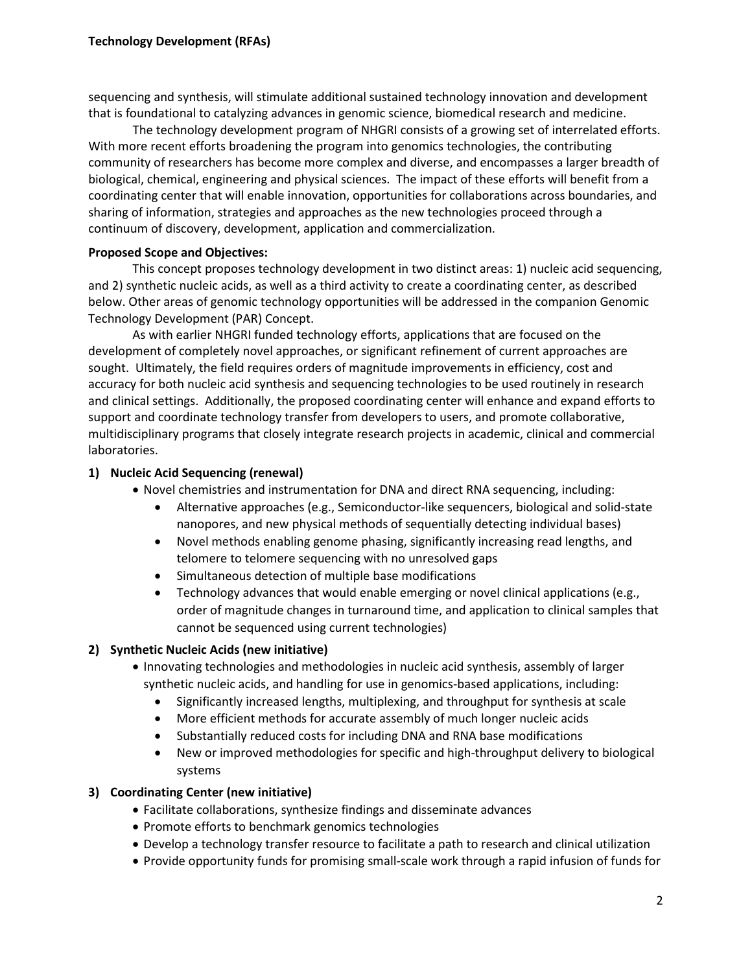sequencing and synthesis, will stimulate additional sustained technology innovation and development that is foundational to catalyzing advances in genomic science, biomedical research and medicine.

The technology development program of NHGRI consists of a growing set of interrelated efforts. With more recent efforts broadening the program into genomics technologies, the contributing community of researchers has become more complex and diverse, and encompasses a larger breadth of biological, chemical, engineering and physical sciences. The impact of these efforts will benefit from a coordinating center that will enable innovation, opportunities for collaborations across boundaries, and sharing of information, strategies and approaches as the new technologies proceed through a continuum of discovery, development, application and commercialization.

## **Proposed Scope and Objectives:**

This concept proposes technology development in two distinct areas: 1) nucleic acid sequencing, and 2) synthetic nucleic acids, as well as a third activity to create a coordinating center, as described below. Other areas of genomic technology opportunities will be addressed in the companion Genomic Technology Development (PAR) Concept.

As with earlier NHGRI funded technology efforts, applications that are focused on the development of completely novel approaches, or significant refinement of current approaches are sought. Ultimately, the field requires orders of magnitude improvements in efficiency, cost and accuracy for both nucleic acid synthesis and sequencing technologies to be used routinely in research and clinical settings. Additionally, the proposed coordinating center will enhance and expand efforts to support and coordinate technology transfer from developers to users, and promote collaborative, multidisciplinary programs that closely integrate research projects in academic, clinical and commercial laboratories.

## **1) Nucleic Acid Sequencing (renewal)**

- Novel chemistries and instrumentation for DNA and direct RNA sequencing, including:
	- Alternative approaches (e.g., Semiconductor-like sequencers, biological and solid-state nanopores, and new physical methods of sequentially detecting individual bases)
	- Novel methods enabling genome phasing, significantly increasing read lengths, and telomere to telomere sequencing with no unresolved gaps
	- Simultaneous detection of multiple base modifications
	- Technology advances that would enable emerging or novel clinical applications (e.g., order of magnitude changes in turnaround time, and application to clinical samples that cannot be sequenced using current technologies)

# **2) Synthetic Nucleic Acids (new initiative)**

- Innovating technologies and methodologies in nucleic acid synthesis, assembly of larger synthetic nucleic acids, and handling for use in genomics-based applications, including:
	- Significantly increased lengths, multiplexing, and throughput for synthesis at scale
	- More efficient methods for accurate assembly of much longer nucleic acids
	- Substantially reduced costs for including DNA and RNA base modifications
	- New or improved methodologies for specific and high-throughput delivery to biological systems

#### **3) Coordinating Center (new initiative)**

- Facilitate collaborations, synthesize findings and disseminate advances
- Promote efforts to benchmark genomics technologies
- Develop a technology transfer resource to facilitate a path to research and clinical utilization
- Provide opportunity funds for promising small-scale work through a rapid infusion of funds for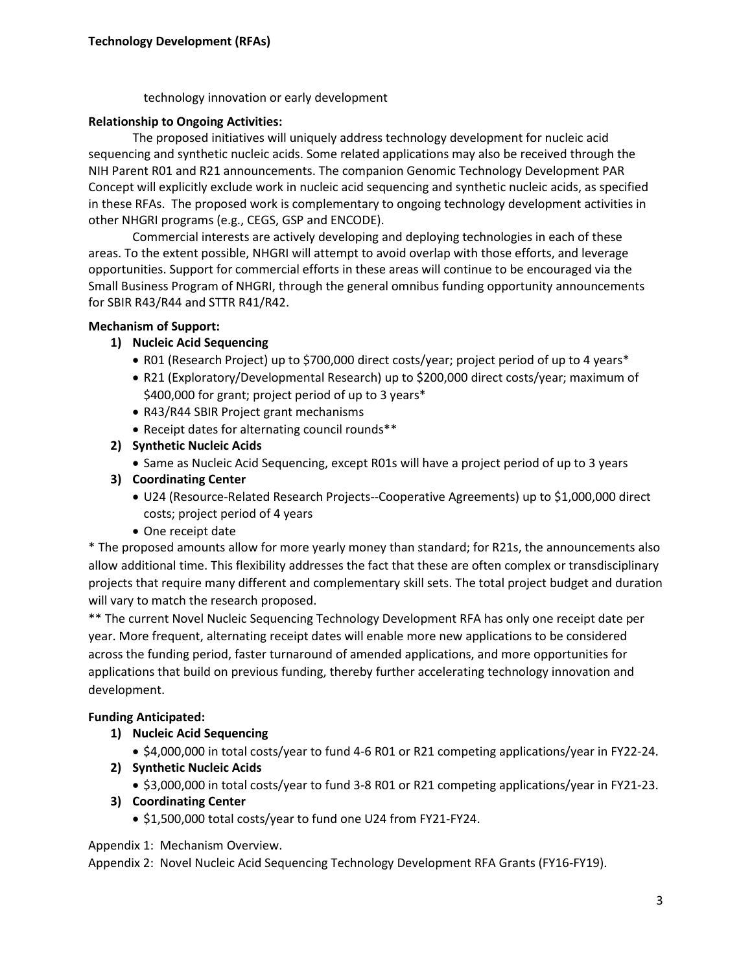technology innovation or early development

## **Relationship to Ongoing Activities:**

The proposed initiatives will uniquely address technology development for nucleic acid sequencing and synthetic nucleic acids. Some related applications may also be received through the NIH Parent R01 and R21 announcements. The companion Genomic Technology Development PAR Concept will explicitly exclude work in nucleic acid sequencing and synthetic nucleic acids, as specified in these RFAs. The proposed work is complementary to ongoing technology development activities in other NHGRI programs (e.g., CEGS, GSP and ENCODE).

Commercial interests are actively developing and deploying technologies in each of these areas. To the extent possible, NHGRI will attempt to avoid overlap with those efforts, and leverage opportunities. Support for commercial efforts in these areas will continue to be encouraged via the Small Business Program of NHGRI, through the general omnibus funding opportunity announcements for SBIR R43/R44 and STTR R41/R42.

## **Mechanism of Support:**

# **1) Nucleic Acid Sequencing**

- R01 (Research Project) up to \$700,000 direct costs/year; project period of up to 4 years\*
- R21 (Exploratory/Developmental Research) up to \$200,000 direct costs/year; maximum of \$400,000 for grant; project period of up to 3 years\*
- R43/R44 SBIR Project grant mechanisms
- Receipt dates for alternating council rounds\*\*
- **2) Synthetic Nucleic Acids**
	- Same as Nucleic Acid Sequencing, except R01s will have a project period of up to 3 years
- **3) Coordinating Center**
	- U24 (Resource-Related Research Projects--Cooperative Agreements) up to \$1,000,000 direct costs; project period of 4 years
	- One receipt date

\* The proposed amounts allow for more yearly money than standard; for R21s, the announcements also allow additional time. This flexibility addresses the fact that these are often complex or transdisciplinary projects that require many different and complementary skill sets. The total project budget and duration will vary to match the research proposed.

\*\* The current Novel Nucleic Sequencing Technology Development RFA has only one receipt date per year. More frequent, alternating receipt dates will enable more new applications to be considered across the funding period, faster turnaround of amended applications, and more opportunities for applications that build on previous funding, thereby further accelerating technology innovation and development.

# **Funding Anticipated:**

- **1) Nucleic Acid Sequencing**
	- \$4,000,000 in total costs/year to fund 4-6 R01 or R21 competing applications/year in FY22-24.
- **2) Synthetic Nucleic Acids**
	- \$3,000,000 in total costs/year to fund 3-8 R01 or R21 competing applications/year in FY21-23.
- **3) Coordinating Center**
	- \$1,500,000 total costs/year to fund one U24 from FY21-FY24.

Appendix 1: Mechanism Overview.

Appendix 2: Novel Nucleic Acid Sequencing Technology Development RFA Grants (FY16-FY19).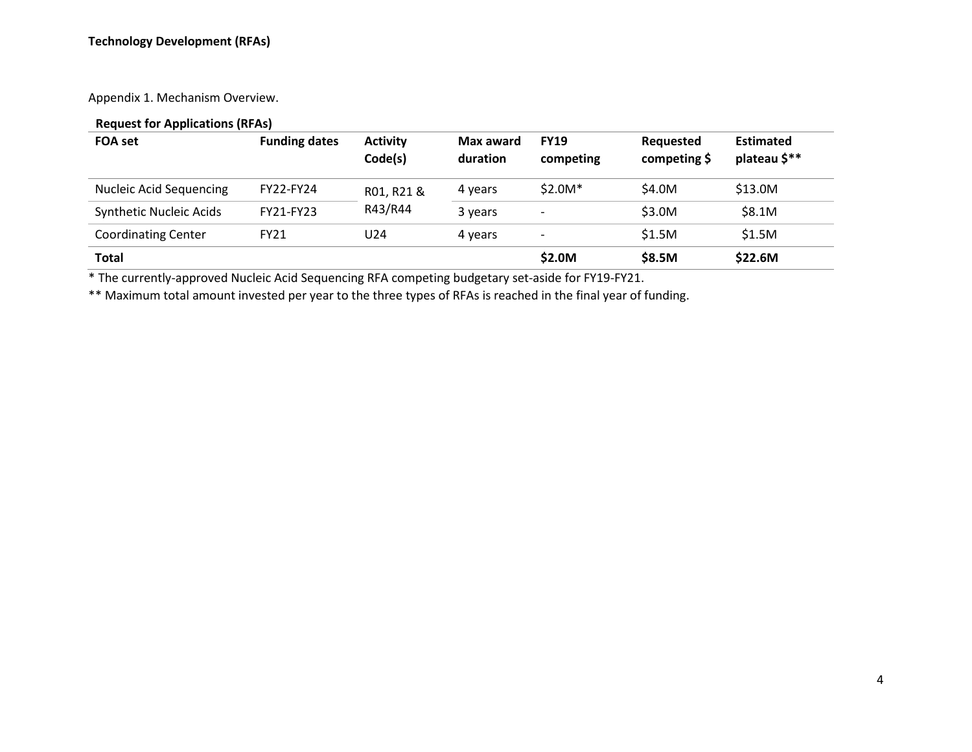Appendix 1. Mechanism Overview.

# **Request for Applications (RFAs)**

| <b>FOA set</b>                 | <b>Funding dates</b> | <b>Activity</b><br>Code(s) | Max award<br>duration | <b>FY19</b><br>competing     | Requested<br>competing \$ | <b>Estimated</b><br>plateau \$** |
|--------------------------------|----------------------|----------------------------|-----------------------|------------------------------|---------------------------|----------------------------------|
| <b>Nucleic Acid Sequencing</b> | <b>FY22-FY24</b>     | R01, R21 &                 | 4 years               | $$2.0M*$                     | \$4.0M                    | \$13.0M                          |
| <b>Synthetic Nucleic Acids</b> | FY21-FY23            | R43/R44                    | 3 years               | $\qquad \qquad \blacksquare$ | \$3.0M                    | \$8.1M                           |
| <b>Coordinating Center</b>     | <b>FY21</b>          | U24                        | 4 years               | $\overline{\phantom{a}}$     | \$1.5M                    | \$1.5M                           |
| <b>Total</b>                   |                      |                            |                       | \$2.0M                       | \$8.5M                    | \$22.6M                          |

\* The currently-approved Nucleic Acid Sequencing RFA competing budgetary set-aside for FY19-FY21.

\*\* Maximum total amount invested per year to the three types of RFAs is reached in the final year of funding.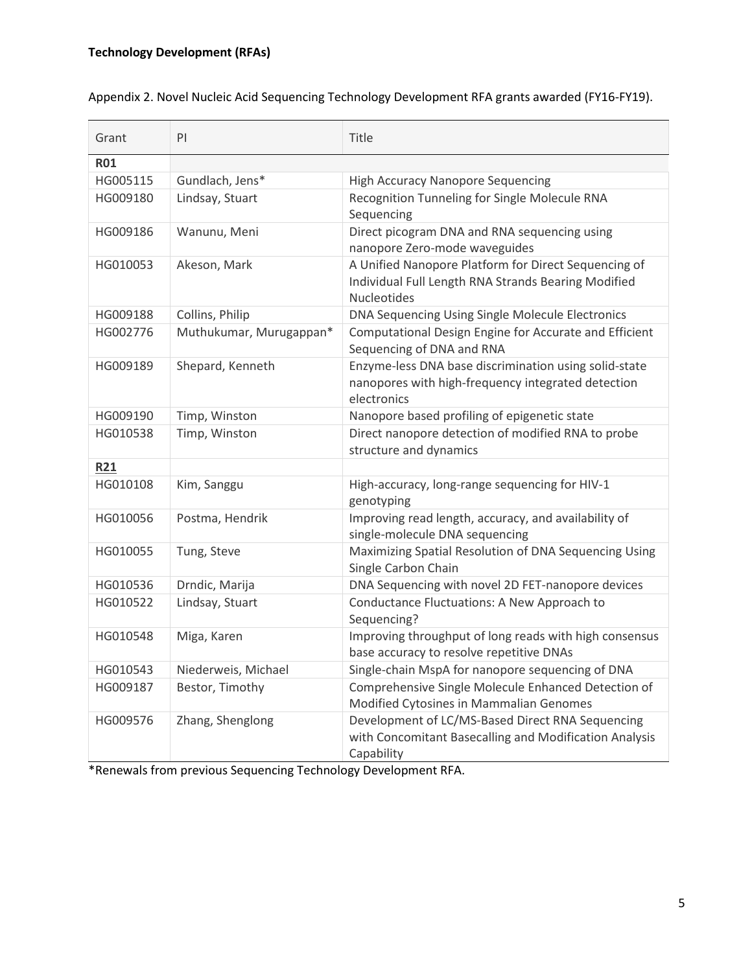| Grant      | PI                      | Title                                                                                                                      |
|------------|-------------------------|----------------------------------------------------------------------------------------------------------------------------|
| <b>R01</b> |                         |                                                                                                                            |
| HG005115   | Gundlach, Jens*         | <b>High Accuracy Nanopore Sequencing</b>                                                                                   |
| HG009180   | Lindsay, Stuart         | Recognition Tunneling for Single Molecule RNA<br>Sequencing                                                                |
| HG009186   | Wanunu, Meni            | Direct picogram DNA and RNA sequencing using<br>nanopore Zero-mode waveguides                                              |
| HG010053   | Akeson, Mark            | A Unified Nanopore Platform for Direct Sequencing of<br>Individual Full Length RNA Strands Bearing Modified<br>Nucleotides |
| HG009188   | Collins, Philip         | DNA Sequencing Using Single Molecule Electronics                                                                           |
| HG002776   | Muthukumar, Murugappan* | Computational Design Engine for Accurate and Efficient<br>Sequencing of DNA and RNA                                        |
| HG009189   | Shepard, Kenneth        | Enzyme-less DNA base discrimination using solid-state<br>nanopores with high-frequency integrated detection<br>electronics |
| HG009190   | Timp, Winston           | Nanopore based profiling of epigenetic state                                                                               |
| HG010538   | Timp, Winston           | Direct nanopore detection of modified RNA to probe<br>structure and dynamics                                               |
| <b>R21</b> |                         |                                                                                                                            |
| HG010108   | Kim, Sanggu             | High-accuracy, long-range sequencing for HIV-1<br>genotyping                                                               |
| HG010056   | Postma, Hendrik         | Improving read length, accuracy, and availability of<br>single-molecule DNA sequencing                                     |
| HG010055   | Tung, Steve             | Maximizing Spatial Resolution of DNA Sequencing Using<br>Single Carbon Chain                                               |
| HG010536   | Drndic, Marija          | DNA Sequencing with novel 2D FET-nanopore devices                                                                          |
| HG010522   | Lindsay, Stuart         | Conductance Fluctuations: A New Approach to<br>Sequencing?                                                                 |
| HG010548   | Miga, Karen             | Improving throughput of long reads with high consensus<br>base accuracy to resolve repetitive DNAs                         |
| HG010543   | Niederweis, Michael     | Single-chain MspA for nanopore sequencing of DNA                                                                           |
| HG009187   | Bestor, Timothy         | Comprehensive Single Molecule Enhanced Detection of<br>Modified Cytosines in Mammalian Genomes                             |
| HG009576   | Zhang, Shenglong        | Development of LC/MS-Based Direct RNA Sequencing<br>with Concomitant Basecalling and Modification Analysis<br>Capability   |

Appendix 2. Novel Nucleic Acid Sequencing Technology Development RFA grants awarded (FY16-FY19).

\*Renewals from previous Sequencing Technology Development RFA.